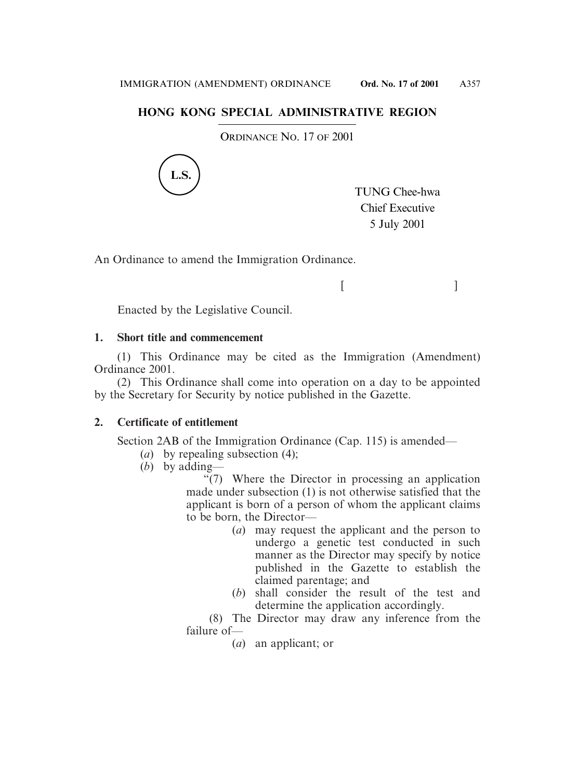## **HONG KONG SPECIAL ADMINISTRATIVE REGION**

ORDINANCE NO. 17 OF 2001



TUNG Chee-hwa Chief Executive 5 July 2001

 $[$   $]$ 

An Ordinance to amend the Immigration Ordinance.

Enacted by the Legislative Council.

## **1. Short title and commencement**

(1) This Ordinance may be cited as the Immigration (Amendment) Ordinance 2001.

(2) This Ordinance shall come into operation on a day to be appointed by the Secretary for Security by notice published in the Gazette.

## **2. Certificate of entitlement**

Section 2AB of the Immigration Ordinance (Cap. 115) is amended—

- (*a*) by repealing subsection (4);
- (*b*) by adding—

"(7) Where the Director in processing an application made under subsection (1) is not otherwise satisfied that the applicant is born of a person of whom the applicant claims to be born, the Director—

- (*a*) may request the applicant and the person to undergo a genetic test conducted in such manner as the Director may specify by notice published in the Gazette to establish the claimed parentage; and
- (*b*) shall consider the result of the test and determine the application accordingly.

(8) The Director may draw any inference from the failure of—

(*a*) an applicant; or